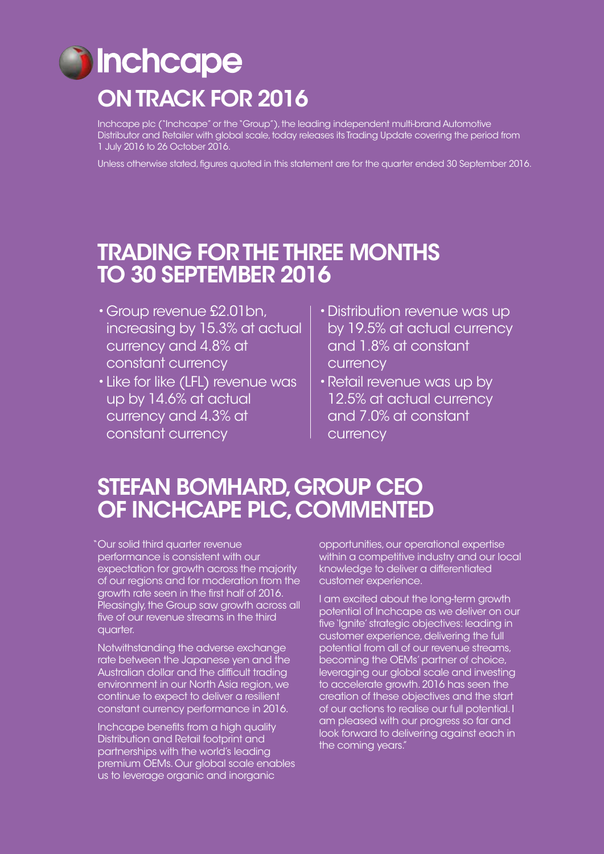# **inchcape** ON TRACK FOR 2016

Inchcape plc ("Inchcape" or the "Group"), the leading independent multi-brand Automotive Distributor and Retailer with global scale, today releases its Trading Update covering the period from 1 July 2016 to 26 October 2016.

Unless otherwise stated, figures quoted in this statement are for the quarter ended 30 September 2016.

## TRADING FOR THE THREE MONTHS TO 30 SEPTEMBER 2016

- •Group revenue £2.01bn, increasing by 15.3% at actual currency and 4.8% at constant currency
- •Like for like (LFL) revenue was up by 14.6% at actual currency and 4.3% at constant currency
- •Distribution revenue was up by 19.5% at actual currency and 1.8% at constant currency
- •Retail revenue was up by 12.5% at actual currency and 7.0% at constant currency

## STEFAN BOMHARD, GROUP CEO OF INCHCAPE PLC, COMMENTED

Our solid third quarter revenue " performance is consistent with our expectation for growth across the majority of our regions and for moderation from the growth rate seen in the first half of 2016. Pleasingly, the Group saw growth across all five of our revenue streams in the third quarter.

Notwithstanding the adverse exchange rate between the Japanese yen and the Australian dollar and the difficult trading environment in our North Asia region, we continue to expect to deliver a resilient constant currency performance in 2016.

Inchcape benefits from a high quality Distribution and Retail footprint and partnerships with the world's leading premium OEMs. Our global scale enables us to leverage organic and inorganic

opportunities, our operational expertise within a competitive industry and our local knowledge to deliver a differentiated customer experience.

I am excited about the long-term growth potential of Inchcape as we deliver on our five 'Ignite' strategic objectives: leading in customer experience, delivering the full potential from all of our revenue streams, becoming the OEMs' partner of choice, leveraging our global scale and investing to accelerate growth. 2016 has seen the creation of these objectives and the start of our actions to realise our full potential. I am pleased with our progress so far and look forward to delivering against each in the coming years."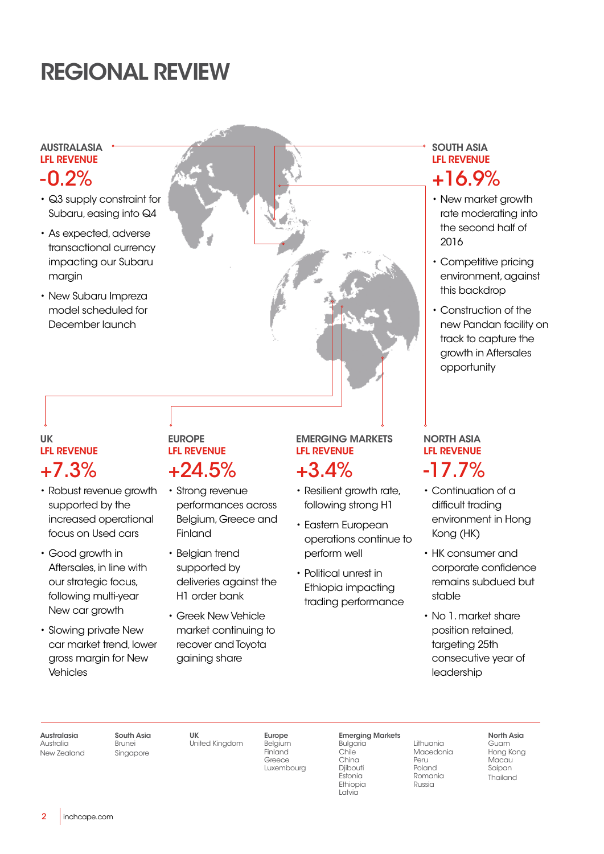## REGIONAL REVIEW

#### AUSTRALASIA LFL REVENUE

## -0.2%

- Q3 supply constraint for Subaru, easing into Q4
- As expected, adverse transactional currency impacting our Subaru margin
- New Subaru Impreza model scheduled for December launch

### UK LFL REVENUE +7.3%

- Robust revenue growth supported by the increased operational focus on Used cars
- Good growth in Aftersales, in line with our strategic focus, following multi-year New car growth
- Slowing private New car market trend, lower gross margin for New Vehicles

### EUROPE LFL REVENUE +24.5%

- Strong revenue performances across Belgium, Greece and Finland
- Belgian trend supported by deliveries against the H1 order bank
- Greek New Vehicle market continuing to recover and Toyota gaining share

## EMERGING MARKETS LFL REVENUE

## +3.4%

- Resilient growth rate, following strong H1
- Eastern European operations continue to perform well
- Political unrest in Ethiopia impacting trading performance

### SOUTH ASIA LFL REVENUE +16.9%

- New market growth rate moderating into the second half of 2016
- Competitive pricing environment, against this backdrop
- Construction of the new Pandan facility on track to capture the growth in Aftersales opportunity

### NORTH ASIA LFL REVENUE -17.7%

- Continuation of a difficult trading environment in Hong Kong (HK)
- HK consumer and corporate confidence remains subdued but stable
- No 1. market share position retained, targeting 25th consecutive year of leadership

Australasia Australia New Zealand

South Asia Brunei Singapore

UK

United Kingdom

Europe Belgium **Finland** Greece Luxembourg Emerging Markets Bulgaria

Chile China Djibouti Estonia Ethiopia Latvia

Peru Russia

Lithuania **Macedonia** Poland Romania

North Asia Guam Hong Kong Macau Saipan Thailand